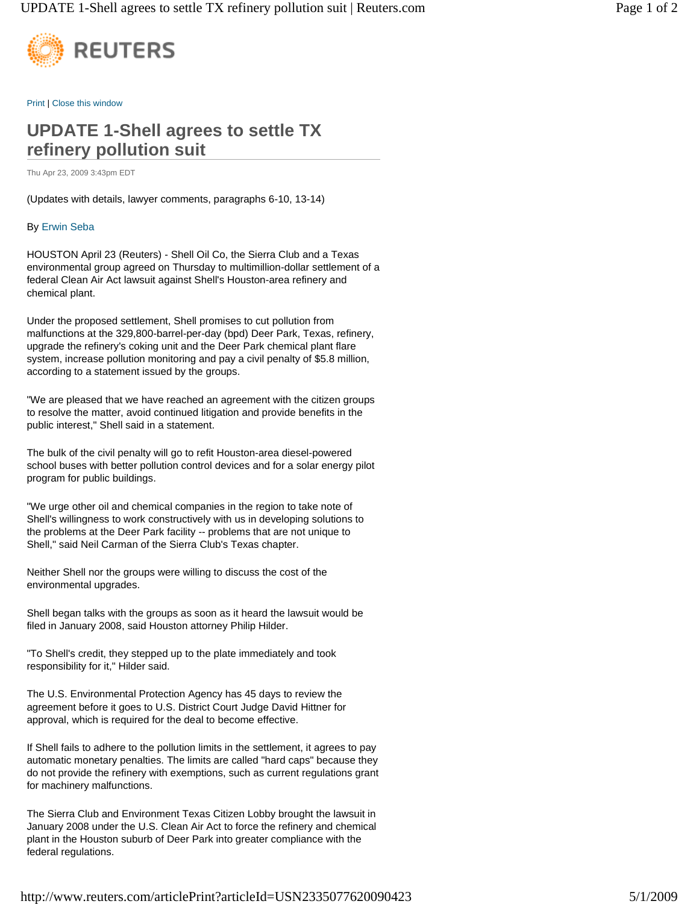

Print | Close this window

## **UPDATE 1-Shell agrees to settle TX refinery pollution suit**

Thu Apr 23, 2009 3:43pm EDT

(Updates with details, lawyer comments, paragraphs 6-10, 13-14)

## By Erwin Seba

HOUSTON April 23 (Reuters) - Shell Oil Co, the Sierra Club and a Texas environmental group agreed on Thursday to multimillion-dollar settlement of a federal Clean Air Act lawsuit against Shell's Houston-area refinery and chemical plant.

Under the proposed settlement, Shell promises to cut pollution from malfunctions at the 329,800-barrel-per-day (bpd) Deer Park, Texas, refinery, upgrade the refinery's coking unit and the Deer Park chemical plant flare system, increase pollution monitoring and pay a civil penalty of \$5.8 million, according to a statement issued by the groups.

"We are pleased that we have reached an agreement with the citizen groups to resolve the matter, avoid continued litigation and provide benefits in the public interest," Shell said in a statement.

The bulk of the civil penalty will go to refit Houston-area diesel-powered school buses with better pollution control devices and for a solar energy pilot program for public buildings.

"We urge other oil and chemical companies in the region to take note of Shell's willingness to work constructively with us in developing solutions to the problems at the Deer Park facility -- problems that are not unique to Shell," said Neil Carman of the Sierra Club's Texas chapter.

Neither Shell nor the groups were willing to discuss the cost of the environmental upgrades.

Shell began talks with the groups as soon as it heard the lawsuit would be filed in January 2008, said Houston attorney Philip Hilder.

"To Shell's credit, they stepped up to the plate immediately and took responsibility for it," Hilder said.

The U.S. Environmental Protection Agency has 45 days to review the agreement before it goes to U.S. District Court Judge David Hittner for approval, which is required for the deal to become effective.

If Shell fails to adhere to the pollution limits in the settlement, it agrees to pay automatic monetary penalties. The limits are called "hard caps" because they do not provide the refinery with exemptions, such as current regulations grant for machinery malfunctions.

The Sierra Club and Environment Texas Citizen Lobby brought the lawsuit in January 2008 under the U.S. Clean Air Act to force the refinery and chemical plant in the Houston suburb of Deer Park into greater compliance with the federal regulations.